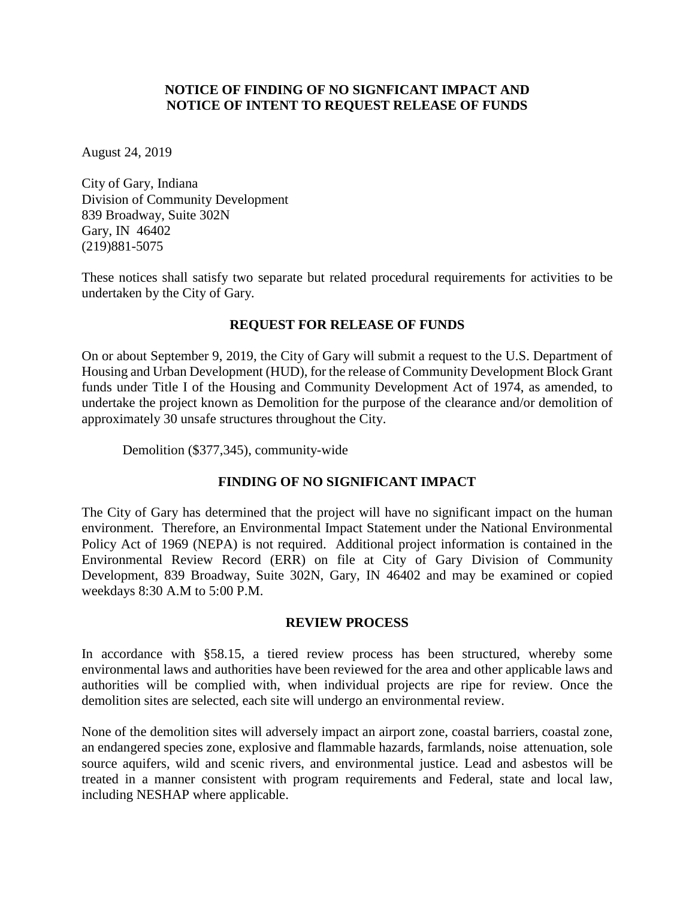### **NOTICE OF FINDING OF NO SIGNFICANT IMPACT AND NOTICE OF INTENT TO REQUEST RELEASE OF FUNDS**

August 24, 2019

City of Gary, Indiana Division of Community Development 839 Broadway, Suite 302N Gary, IN 46402 (219)881-5075

These notices shall satisfy two separate but related procedural requirements for activities to be undertaken by the City of Gary*.*

# **REQUEST FOR RELEASE OF FUNDS**

On or about September 9, 2019, the City of Gary will submit a request to the U.S. Department of Housing and Urban Development (HUD), for the release of Community Development Block Grant funds under Title I of the Housing and Community Development Act of 1974, as amended, to undertake the project known as Demolition for the purpose of the clearance and/or demolition of approximately 30 unsafe structures throughout the City.

Demolition (\$377,345), community-wide

# **FINDING OF NO SIGNIFICANT IMPACT**

The City of Gary has determined that the project will have no significant impact on the human environment. Therefore, an Environmental Impact Statement under the National Environmental Policy Act of 1969 (NEPA) is not required. Additional project information is contained in the Environmental Review Record (ERR) on file at City of Gary Division of Community Development, 839 Broadway, Suite 302N, Gary, IN 46402 and may be examined or copied weekdays 8:30 A.M to 5:00 P.M.

#### **REVIEW PROCESS**

In accordance with §58.15, a tiered review process has been structured, whereby some environmental laws and authorities have been reviewed for the area and other applicable laws and authorities will be complied with, when individual projects are ripe for review. Once the demolition sites are selected, each site will undergo an environmental review.

None of the demolition sites will adversely impact an airport zone, coastal barriers, coastal zone, an endangered species zone, explosive and flammable hazards, farmlands, noise attenuation, sole source aquifers, wild and scenic rivers, and environmental justice. Lead and asbestos will be treated in a manner consistent with program requirements and Federal, state and local law, including NESHAP where applicable.